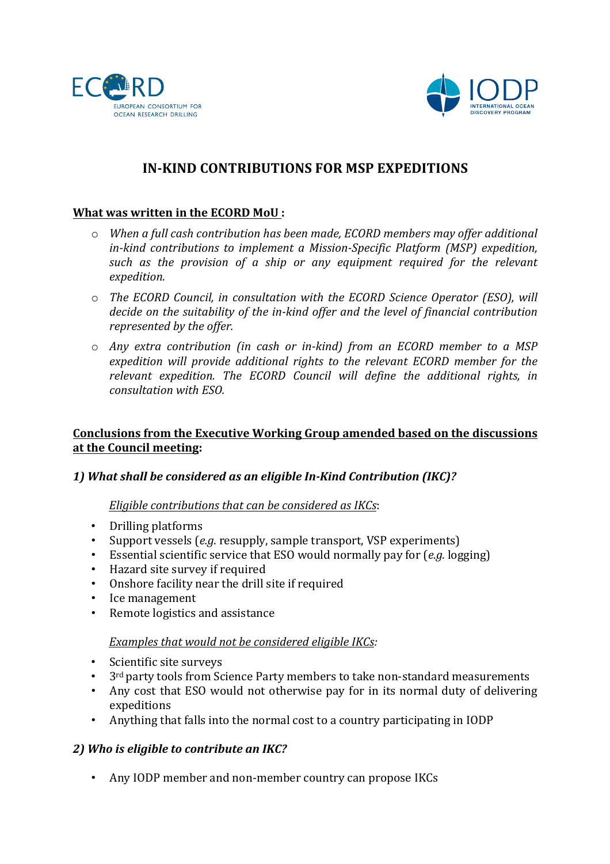



# **IN-KIND CONTRIBUTIONS FOR MSP EXPEDITIONS**

### **What was written in the ECORD MoU:**

- $\circ$  *When a full cash contribution has been made, ECORD members may offer additional in-kind contributions to implement a Mission-Specific Platform (MSP) expedition,*  such as the provision of a ship or any equipment required for the relevant *expedition.*
- $\circ$  *The ECORD Council, in consultation with the ECORD Science Operator (ESO), will decide* on the suitability of the in-kind offer and the level of financial contribution *represented by the offer.*
- o *Any extra contribution (in cash or in-kind) from an ECORD member to a MSP*  expedition will provide additional rights to the relevant ECORD member for the relevant expedition. The ECORD Council will define the additional rights, in *consultation with ESO.*

# **Conclusions from the Executive Working Group amended based on the discussions at the Council meeting:**

### 1) What shall be considered as an eligible In-Kind Contribution (IKC)?

### *Eligible contributions that can be considered as IKCs:*

- Drilling platforms
- Support vessels (*e.g.* resupply, sample transport, VSP experiments)
- Essential scientific service that ESO would normally pay for (*e.g.* logging)
- Hazard site survey if required
- Onshore facility near the drill site if required
- Ice management
- Remote logistics and assistance

### *Examples that would not be considered eligible IKCs:*

- Scientific site surveys
- $3<sup>rd</sup>$  party tools from Science Party members to take non-standard measurements
- Any cost that ESO would not otherwise pay for in its normal duty of delivering expeditions
- Anything that falls into the normal cost to a country participating in IODP

### 2) Who is eligible to contribute an IKC?

• Any IODP member and non-member country can propose IKCs